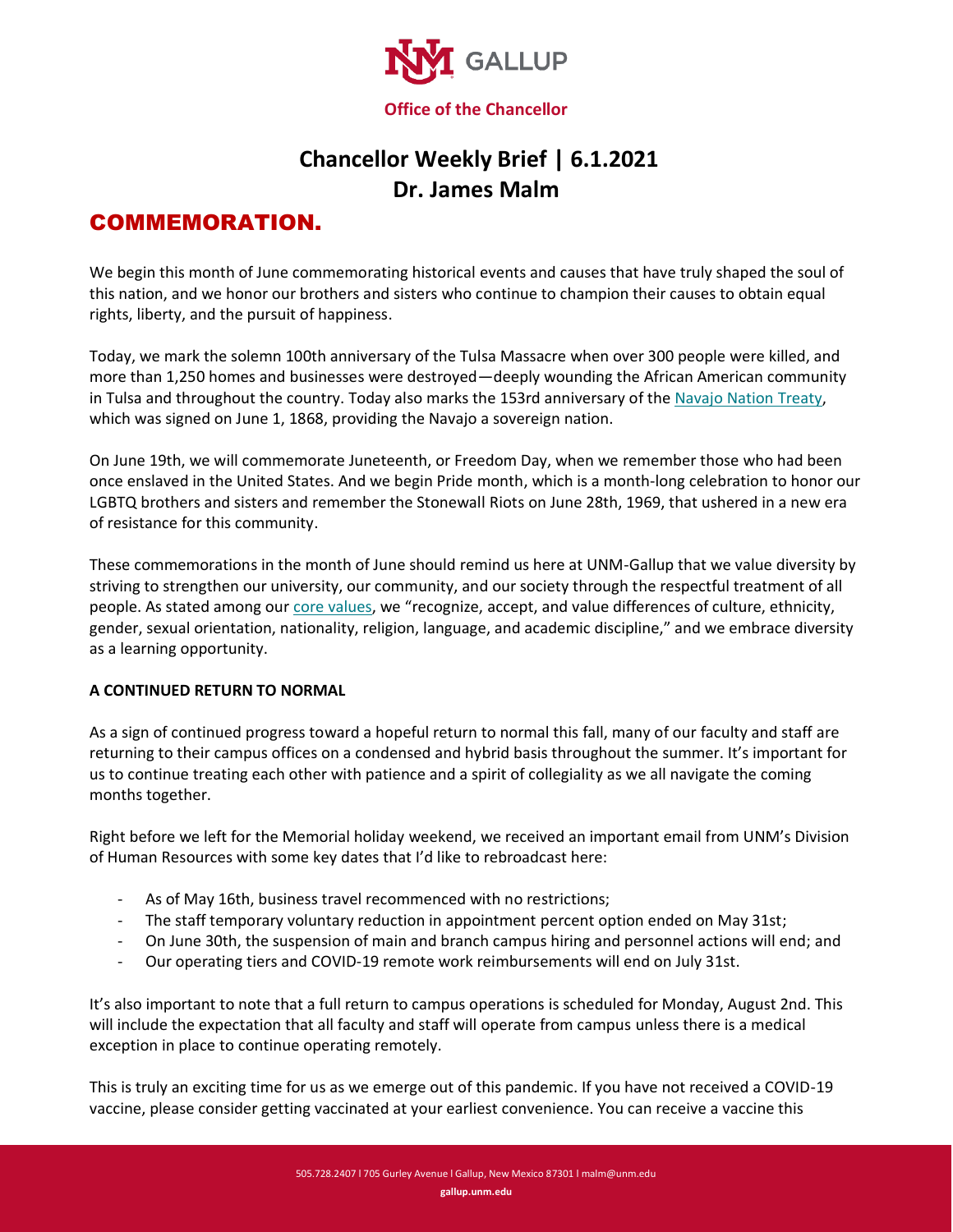

## **Chancellor Weekly Brief | 6.1.2021 Dr. James Malm**

## COMMEMORATION.

We begin this month of June commemorating historical events and causes that have truly shaped the soul of this nation, and we honor our brothers and sisters who continue to champion their causes to obtain equal rights, liberty, and the pursuit of happiness.

Today, we mark the solemn 100th anniversary of the Tulsa Massacre when over 300 people were killed, and more than 1,250 homes and businesses were destroyed—deeply wounding the African American community in Tulsa and throughout the country. Today also marks the 153rd anniversary of the [Navajo Nation Treaty,](https://americanindian.si.edu/static/nationtonation/pdf/Navajo-Treaty-1868.pdf) which was signed on June 1, 1868, providing the Navajo a sovereign nation.

On June 19th, we will commemorate Juneteenth, or Freedom Day, when we remember those who had been once enslaved in the United States. And we begin Pride month, which is a month-long celebration to honor our LGBTQ brothers and sisters and remember the Stonewall Riots on June 28th, 1969, that ushered in a new era of resistance for this community.

These commemorations in the month of June should remind us here at UNM-Gallup that we value diversity by striving to strengthen our university, our community, and our society through the respectful treatment of all people. As stated among ou[r core values](https://gallup.unm.edu/about/vision-mission.php), we "recognize, accept, and value differences of culture, ethnicity, gender, sexual orientation, nationality, religion, language, and academic discipline," and we embrace diversity as a learning opportunity.

## **A CONTINUED RETURN TO NORMAL**

As a sign of continued progress toward a hopeful return to normal this fall, many of our faculty and staff are returning to their campus offices on a condensed and hybrid basis throughout the summer. It's important for us to continue treating each other with patience and a spirit of collegiality as we all navigate the coming months together.

Right before we left for the Memorial holiday weekend, we received an important email from UNM's Division of Human Resources with some key dates that I'd like to rebroadcast here:

- As of May 16th, business travel recommenced with no restrictions;
- The staff temporary voluntary reduction in appointment percent option ended on May 31st;
- On June 30th, the suspension of main and branch campus hiring and personnel actions will end; and
- Our operating tiers and COVID-19 remote work reimbursements will end on July 31st.

It's also important to note that a full return to campus operations is scheduled for Monday, August 2nd. This will include the expectation that all faculty and staff will operate from campus unless there is a medical exception in place to continue operating remotely.

This is truly an exciting time for us as we emerge out of this pandemic. If you have not received a COVID-19 vaccine, please consider getting vaccinated at your earliest convenience. You can receive a vaccine this